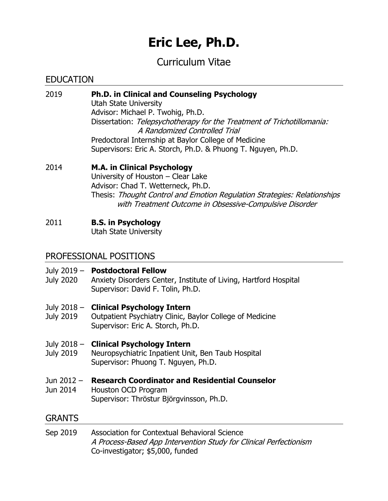# **Eric Lee, Ph.D.**

# Curriculum Vitae

# EDUCATION

- 2019 **Ph.D. in Clinical and Counseling Psychology** Utah State University Advisor: Michael P. Twohig, Ph.D. Dissertation: Telepsychotherapy for the Treatment of Trichotillomania: A Randomized Controlled Trial Predoctoral Internship at Baylor College of Medicine Supervisors: Eric A. Storch, Ph.D. & Phuong T. Nguyen, Ph.D.
- 2014 **M.A. in Clinical Psychology** University of Houston – Clear Lake Advisor: Chad T. Wetterneck, Ph.D. Thesis: Thought Control and Emotion Regulation Strategies: Relationships with Treatment Outcome in Obsessive-Compulsive Disorder
- 2011 **B.S. in Psychology**

Utah State University

# PROFESSIONAL POSITIONS

## July 2019 – **Postdoctoral Fellow**

- July 2020 Anxiety Disorders Center, Institute of Living, Hartford Hospital Supervisor: David F. Tolin, Ph.D.
- July 2018 **Clinical Psychology Intern**
- July 2019 Outpatient Psychiatry Clinic, Baylor College of Medicine Supervisor: Eric A. Storch, Ph.D.

# July 2018 – **Clinical Psychology Intern**

- July 2019 Neuropsychiatric Inpatient Unit, Ben Taub Hospital Supervisor: Phuong T. Nguyen, Ph.D.
- Jun 2012 **Research Coordinator and Residential Counselor**
- Jun 2014 Houston OCD Program Supervisor: Thröstur Björgvinsson, Ph.D.

# GRANTS

Sep 2019 Association for Contextual Behavioral Science A Process-Based App Intervention Study for Clinical Perfectionism Co-investigator; \$5,000, funded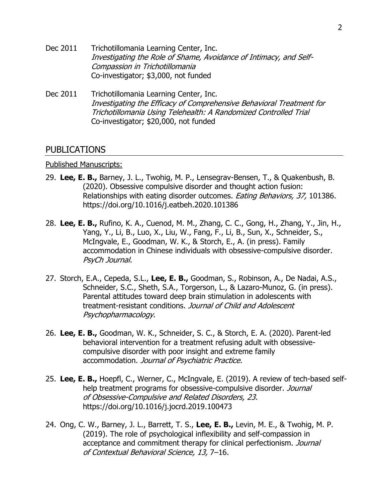- Dec 2011 Trichotillomania Learning Center, Inc. Investigating the Role of Shame, Avoidance of Intimacy, and Self-Compassion in Trichotillomania Co-investigator; \$3,000, not funded
- Dec 2011 Trichotillomania Learning Center, Inc. Investigating the Efficacy of Comprehensive Behavioral Treatment for Trichotillomania Using Telehealth: A Randomized Controlled Trial Co-investigator; \$20,000, not funded

# PUBLICATIONS

#### Published Manuscripts:

- 29. **Lee, E. B.,** Barney, J. L., Twohig, M. P., Lensegrav-Bensen, T., & Quakenbush, B. (2020). Obsessive compulsive disorder and thought action fusion: Relationships with eating disorder outcomes. Eating Behaviors, 37, 101386. https://doi.org/10.1016/j.eatbeh.2020.101386
- 28. **Lee, E. B.,** Rufino, K. A., Cuenod, M. M., Zhang, C. C., Gong, H., Zhang, Y., Jin, H., Yang, Y., Li, B., Luo, X., Liu, W., Fang, F., Li, B., Sun, X., Schneider, S., McIngvale, E., Goodman, W. K., & Storch, E., A. (in press). Family accommodation in Chinese individuals with obsessive-compulsive disorder. PsyCh Journal.
- 27. Storch, E.A., Cepeda, S.L., **Lee, E. B.,** Goodman, S., Robinson, A., De Nadai, A.S., Schneider, S.C., Sheth, S.A., Torgerson, L., & Lazaro-Munoz, G. (in press). Parental attitudes toward deep brain stimulation in adolescents with treatment-resistant conditions. Journal of Child and Adolescent Psychopharmacology.
- 26. **Lee, E. B.,** Goodman, W. K., Schneider, S. C., & Storch, E. A. (2020). Parent-led behavioral intervention for a treatment refusing adult with obsessivecompulsive disorder with poor insight and extreme family accommodation. Journal of Psychiatric Practice.
- 25. **Lee, E. B.,** Hoepfl, C., Werner, C., McIngvale, E. (2019). A review of tech-based selfhelp treatment programs for obsessive-compulsive disorder. Journal of Obsessive-Compulsive and Related Disorders, 23. https://doi.org/10.1016/j.jocrd.2019.100473
- 24. Ong, C. W., Barney, J. L., Barrett, T. S., **Lee, E. B.,** Levin, M. E., & Twohig, M. P. (2019). The role of psychological inflexibility and self-compassion in acceptance and commitment therapy for clinical perfectionism. Journal of Contextual Behavioral Science, 13, 7–16.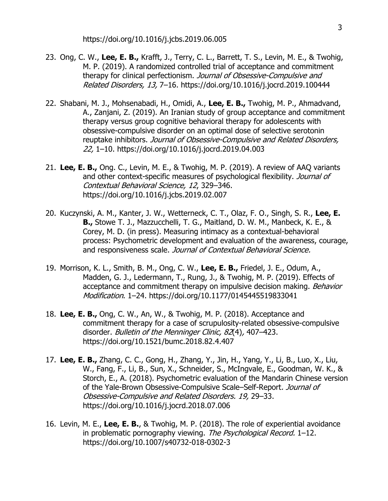- 23. Ong, C. W., **Lee, E. B.,** Krafft, J., Terry, C. L., Barrett, T. S., Levin, M. E., & Twohig, M. P. (2019). A randomized controlled trial of acceptance and commitment therapy for clinical perfectionism. Journal of Obsessive-Compulsive and Related Disorders, 13, 7–16. https://doi.org/10.1016/j.jocrd.2019.100444
- 22. Shabani, M. J., Mohsenabadi, H., Omidi, A., **Lee, E. B.,** Twohig, M. P., Ahmadvand, A., Zanjani, Z. (2019). An Iranian study of group acceptance and commitment therapy versus group cognitive behavioral therapy for adolescents with obsessive-compulsive disorder on an optimal dose of selective serotonin reuptake inhibitors. Journal of Obsessive-Compulsive and Related Disorders, 22, 1–10. https://doi.org/10.1016/j.jocrd.2019.04.003
- 21. **Lee, E. B.,** Ong. C., Levin, M. E., & Twohig, M. P. (2019). A review of AAQ variants and other context-specific measures of psychological flexibility. Journal of Contextual Behavioral Science, 12, 329–346. https://doi.org/10.1016/j.jcbs.2019.02.007
- 20. Kuczynski, A. M., Kanter, J. W., Wetterneck, C. T., Olaz, F. O., Singh, S. R., **Lee, E. B.,** Stowe T. J., Mazzucchelli, T. G., Maitland, D. W. M., Manbeck, K. E., & Corey, M. D. (in press). Measuring intimacy as a contextual-behavioral process: Psychometric development and evaluation of the awareness, courage, and responsiveness scale. Journal of Contextual Behavioral Science.
- 19. Morrison, K. L., Smith, B. M., Ong, C. W., **Lee, E. B.,** Friedel, J. E., Odum, A., Madden, G. J., Ledermann, T., Rung, J., & Twohig, M. P. (2019). Effects of acceptance and commitment therapy on impulsive decision making. Behavior Modification. 1–24. https://doi.org/10.1177/0145445519833041
- 18. **Lee, E. B.,** Ong, C. W., An, W., & Twohig, M. P. (2018). Acceptance and commitment therapy for a case of scrupulosity-related obsessive-compulsive disorder. Bulletin of the Menninger Clinic, 82(4), 407-423. https://doi.org/10.1521/bumc.2018.82.4.407
- 17. **Lee, E. B.,** Zhang, C. C., Gong, H., Zhang, Y., Jin, H., Yang, Y., Li, B., Luo, X., Liu, W., Fang, F., Li, B., Sun, X., Schneider, S., McIngvale, E., Goodman, W. K., & Storch, E., A. (2018). Psychometric evaluation of the Mandarin Chinese version of the Yale-Brown Obsessive-Compulsive Scale-Self-Report. Journal of Obsessive-Compulsive and Related Disorders. 19, 29–33. https://doi.org/10.1016/j.jocrd.2018.07.006
- 16. Levin, M. E., **Lee, E. B.**, & Twohig, M. P. (2018). The role of experiential avoidance in problematic pornography viewing. The Psychological Record. 1-12. https://doi.org/10.1007/s40732-018-0302-3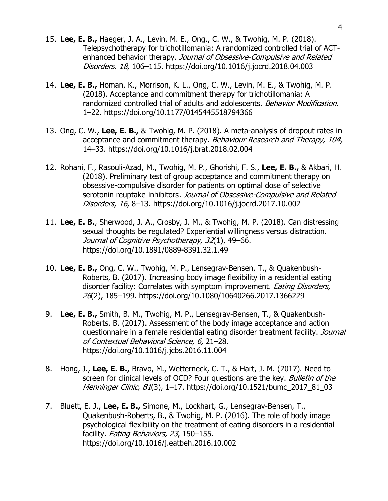- 15. **Lee, E. B.,** Haeger, J. A., Levin, M. E., Ong., C. W., & Twohig, M. P. (2018). Telepsychotherapy for trichotillomania: A randomized controlled trial of ACTenhanced behavior therapy. Journal of Obsessive-Compulsive and Related Disorders. 18, 106–115. https://doi.org/10.1016/j.jocrd.2018.04.003
- 14. **Lee, E. B.,** Homan, K., Morrison, K. L., Ong, C. W., Levin, M. E., & Twohig, M. P. (2018). Acceptance and commitment therapy for trichotillomania: A randomized controlled trial of adults and adolescents. Behavior Modification. 1–22. https://doi.org/10.1177/0145445518794366
- 13. Ong, C. W., **Lee, E. B.,** & Twohig, M. P. (2018). A meta-analysis of dropout rates in acceptance and commitment therapy. Behaviour Research and Therapy, 104, 14–33. https://doi.org/10.1016/j.brat.2018.02.004
- 12. Rohani, F., Rasouli-Azad, M., Twohig, M. P., Ghorishi, F. S., **Lee, E. B.,** & Akbari, H. (2018). Preliminary test of group acceptance and commitment therapy on obsessive-compulsive disorder for patients on optimal dose of selective serotonin reuptake inhibitors. Journal of Obsessive-Compulsive and Related Disorders, 16, 8–13. https://doi.org/10.1016/j.jocrd.2017.10.002
- 11. **Lee, E. B.**, Sherwood, J. A., Crosby, J. M., & Twohig, M. P. (2018). Can distressing sexual thoughts be regulated? Experiential willingness versus distraction. Journal of Cognitive Psychotherapy, 32(1), 49-66. https://doi.org/10.1891/0889-8391.32.1.49
- 10. **Lee, E. B.,** Ong, C. W., Twohig, M. P., Lensegrav-Bensen, T., & Quakenbush-Roberts, B. (2017). Increasing body image flexibility in a residential eating disorder facility: Correlates with symptom improvement. *Eating Disorders,* 26(2), 185–199. https://doi.org/10.1080/10640266.2017.1366229
- 9. **Lee, E. B.,** Smith, B. M., Twohig, M. P., Lensegrav-Bensen, T., & Quakenbush-Roberts, B. (2017). Assessment of the body image acceptance and action questionnaire in a female residential eating disorder treatment facility. Journal of Contextual Behavioral Science, 6, 21–28. https://doi.org/10.1016/j.jcbs.2016.11.004
- 8. Hong, J., **Lee, E. B.,** Bravo, M., Wetterneck, C. T., & Hart, J. M. (2017). Need to screen for clinical levels of OCD? Four questions are the key. Bulletin of the Menninger Clinic, 81(3), 1-17. https://doi.org/10.1521/bumc\_2017\_81\_03
- 7. Bluett, E. J., **Lee, E. B.,** Simone, M., Lockhart, G., Lensegrav-Bensen, T., Quakenbush-Roberts, B., & Twohig, M. P. (2016). The role of body image psychological flexibility on the treatment of eating disorders in a residential facility. *Eating Behaviors, 23*, 150-155. https://doi.org/10.1016/j.eatbeh.2016.10.002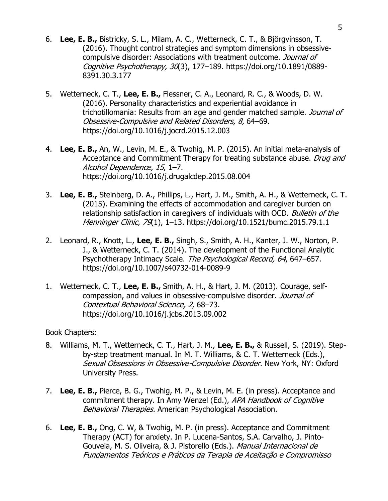- 6. **Lee, E. B.,** Bistricky, S. L., Milam, A. C., Wetterneck, C. T., & Björgvinsson, T. (2016). Thought control strategies and symptom dimensions in obsessivecompulsive disorder: Associations with treatment outcome. Journal of Cognitive Psychotherapy, 30(3), 177–189. https://doi.org/10.1891/0889- 8391.30.3.177
- 5. Wetterneck, C. T., **Lee, E. B.,** Flessner, C. A., Leonard, R. C., & Woods, D. W. (2016). Personality characteristics and experiential avoidance in trichotillomania: Results from an age and gender matched sample. Journal of Obsessive-Compulsive and Related Disorders, 8, 64–69. https://doi.org/10.1016/j.jocrd.2015.12.003
- 4. **Lee, E. B.,** An, W., Levin, M. E., & Twohig, M. P. (2015). An initial meta-analysis of Acceptance and Commitment Therapy for treating substance abuse. Drug and Alcohol Dependence, 15, 1–7. https://doi.org/10.1016/j.drugalcdep.2015.08.004
- 3. **Lee, E. B.,** Steinberg, D. A., Phillips, L., Hart, J. M., Smith, A. H., & Wetterneck, C. T. (2015). Examining the effects of accommodation and caregiver burden on relationship satisfaction in caregivers of individuals with OCD. Bulletin of the Menninger Clinic, 79(1), 1–13. https://doi.org/10.1521/bumc.2015.79.1.1
- 2. Leonard, R., Knott, L., **Lee, E. B.,** Singh, S., Smith, A. H., Kanter, J. W., Norton, P. J., & Wetterneck, C. T. (2014). The development of the Functional Analytic Psychotherapy Intimacy Scale. The Psychological Record, 64, 647-657. https://doi.org/10.1007/s40732-014-0089-9
- 1. Wetterneck, C. T., **Lee, E. B.,** Smith, A. H., & Hart, J. M. (2013). Courage, selfcompassion, and values in obsessive-compulsive disorder. Journal of Contextual Behavioral Science, 2, 68–73. https://doi.org/10.1016/j.jcbs.2013.09.002

## Book Chapters:

- 8. Williams, M. T., Wetterneck, C. T., Hart, J. M., **Lee, E. B.,** & Russell, S. (2019). Stepby-step treatment manual. In M. T. Williams, & C. T. Wetterneck (Eds.), Sexual Obsessions in Obsessive-Compulsive Disorder. New York, NY: Oxford University Press.
- 7. **Lee, E. B.,** Pierce, B. G., Twohig, M. P., & Levin, M. E. (in press). Acceptance and commitment therapy. In Amy Wenzel (Ed.), APA Handbook of Cognitive Behavioral Therapies. American Psychological Association.
- 6. **Lee, E. B.,** Ong, C. W, & Twohig, M. P. (in press). Acceptance and Commitment Therapy (ACT) for anxiety. In P. Lucena-Santos, S.A. Carvalho, J. Pinto-Gouveia, M. S. Oliveira, & J. Pistorello (Eds.). Manual Internacional de Fundamentos Teóricos e Práticos da Terapia de Aceitac*̧*ão e Compromisso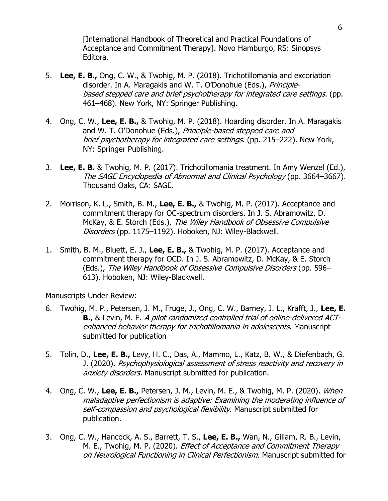[International Handbook of Theoretical and Practical Foundations of Acceptance and Commitment Therapy]. Novo Hamburgo, RS: Sinopsys Editora.

- 5. **Lee, E. B.,** Ong, C. W., & Twohig, M. P. (2018). Trichotillomania and excoriation disorder. In A. Maragakis and W. T. O'Donohue (Eds.), Principlebased stepped care and brief psychotherapy for integrated care settings. (pp. 461–468). New York, NY: Springer Publishing.
- 4. Ong, C. W., **Lee, E. B.,** & Twohig, M. P. (2018). Hoarding disorder. In A. Maragakis and W. T. O'Donohue (Eds.), Principle-based stepped care and brief psychotherapy for integrated care settings. (pp. 215–222). New York, NY: Springer Publishing.
- 3. **Lee, E. B.** & Twohig, M. P. (2017). Trichotillomania treatment. In Amy Wenzel (Ed.), The SAGE Encyclopedia of Abnormal and Clinical Psychology (pp. 3664–3667). Thousand Oaks, CA: SAGE.
- 2. Morrison, K. L., Smith, B. M., **Lee, E. B.,** & Twohig, M. P. (2017). Acceptance and commitment therapy for OC-spectrum disorders. In J. S. Abramowitz, D. McKay, & E. Storch (Eds.), The Wiley Handbook of Obsessive Compulsive Disorders (pp. 1175–1192). Hoboken, NJ: Wiley-Blackwell.
- 1. Smith, B. M., Bluett, E. J., **Lee, E. B.,** & Twohig, M. P. (2017). Acceptance and commitment therapy for OCD. In J. S. Abramowitz, D. McKay, & E. Storch (Eds.), The Wiley Handbook of Obsessive Compulsive Disorders (pp. 596– 613). Hoboken, NJ: Wiley-Blackwell.

## Manuscripts Under Review:

- 6. Twohig, M. P., Petersen, J. M., Fruge, J., Ong, C. W., Barney, J. L., Krafft, J., **Lee, E. B.**, & Levin, M. E. A pilot randomized controlled trial of online-delivered ACTenhanced behavior therapy for trichotillomania in adolescents. Manuscript submitted for publication
- 5. Tolin, D., **Lee, E. B.,** Levy, H. C., Das, A., Mammo, L., Katz, B. W., & Diefenbach, G. J. (2020). Psychophysiological assessment of stress reactivity and recovery in anxiety disorders. Manuscript submitted for publication.
- 4. Ong, C. W., **Lee, E. B.,** Petersen, J. M., Levin, M. E., & Twohig, M. P. (2020). When maladaptive perfectionism is adaptive: Examining the moderating influence of self-compassion and psychological flexibility. Manuscript submitted for publication.
- 3. Ong, C. W., Hancock, A. S., Barrett, T. S., **Lee, E. B.,** Wan, N., Gillam, R. B., Levin, M. E., Twohig, M. P. (2020). *Effect of Acceptance and Commitment Therapy* on Neurological Functioning in Clinical Perfectionism. Manuscript submitted for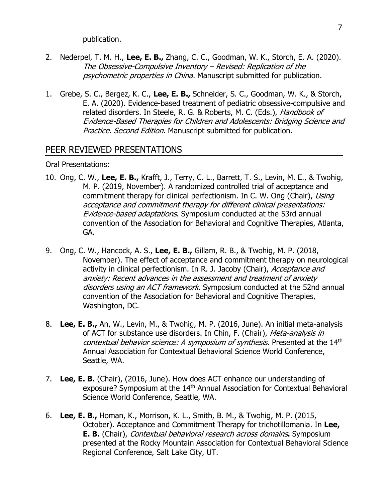publication.

- 2. Nederpel, T. M. H., **Lee, E. B.,** Zhang, C. C., Goodman, W. K., Storch, E. A. (2020). The Obsessive-Compulsive Inventory – Revised: Replication of the psychometric properties in China. Manuscript submitted for publication.
- 1. Grebe, S. C., Bergez, K. C., **Lee, E. B.,** Schneider, S. C., Goodman, W. K., & Storch, E. A. (2020). Evidence-based treatment of pediatric obsessive-compulsive and related disorders. In Steele, R. G. & Roberts, M. C. (Eds.), Handbook of Evidence-Based Therapies for Children and Adolescents: Bridging Science and Practice. Second Edition. Manuscript submitted for publication.

## PEER REVIEWED PRESENTATIONS

#### Oral Presentations:

- 10. Ong, C. W., **Lee, E. B.,** Krafft, J., Terry, C. L., Barrett, T. S., Levin, M. E., & Twohig, M. P. (2019, November). A randomized controlled trial of acceptance and commitment therapy for clinical perfectionism. In C. W. Ong (Chair), Using acceptance and commitment therapy for different clinical presentations: Evidence-based adaptations. Symposium conducted at the 53rd annual convention of the Association for Behavioral and Cognitive Therapies, Atlanta, GA.
- 9. Ong, C. W., Hancock, A. S., **Lee, E. B.,** Gillam, R. B., & Twohig, M. P. (2018, November). The effect of acceptance and commitment therapy on neurological activity in clinical perfectionism. In R. J. Jacoby (Chair), Acceptance and anxiety: Recent advances in the assessment and treatment of anxiety disorders using an ACT framework. Symposium conducted at the 52nd annual convention of the Association for Behavioral and Cognitive Therapies, Washington, DC.
- 8. **Lee, E. B.,** An, W., Levin, M., & Twohig, M. P. (2016, June). An initial meta-analysis of ACT for substance use disorders. In Chin, F. (Chair), Meta-analysis in contextual behavior science: A symposium of synthesis. Presented at the 14<sup>th</sup> Annual Association for Contextual Behavioral Science World Conference, Seattle, WA.
- 7. **Lee, E. B.** (Chair), (2016, June). How does ACT enhance our understanding of exposure? Symposium at the 14<sup>th</sup> Annual Association for Contextual Behavioral Science World Conference, Seattle, WA.
- 6. **Lee, E. B.,** Homan, K., Morrison, K. L., Smith, B. M., & Twohig, M. P. (2015, October). Acceptance and Commitment Therapy for trichotillomania. In **Lee, E. B.** (Chair), Contextual behavioral research across domains**.** Symposium presented at the Rocky Mountain Association for Contextual Behavioral Science Regional Conference, Salt Lake City, UT.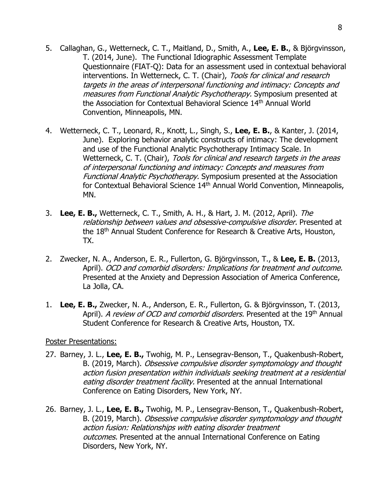- 5. Callaghan, G., Wetterneck, C. T., Maitland, D., Smith, A., **Lee, E. B.**, & Björgvinsson, T. (2014, June). The Functional Idiographic Assessment Template Questionnaire (FIAT-Q): Data for an assessment used in contextual behavioral interventions. In Wetterneck, C. T. (Chair), Tools for clinical and research targets in the areas of interpersonal functioning and intimacy: Concepts and measures from Functional Analytic Psychotherapy. Symposium presented at the Association for Contextual Behavioral Science 14th Annual World Convention, Minneapolis, MN.
- 4. Wetterneck, C. T., Leonard, R., Knott, L., Singh, S., **Lee, E. B.**, & Kanter, J. (2014, June). Exploring behavior analytic constructs of intimacy: The development and use of the Functional Analytic Psychotherapy Intimacy Scale. In Wetterneck, C. T. (Chair), Tools for clinical and research targets in the areas of interpersonal functioning and intimacy: Concepts and measures from Functional Analytic Psychotherapy. Symposium presented at the Association for Contextual Behavioral Science 14<sup>th</sup> Annual World Convention, Minneapolis, MN.
- 3. **Lee, E. B.,** Wetterneck, C. T., Smith, A. H., & Hart, J. M. (2012, April). The relationship between values and obsessive-compulsive disorder. Presented at the 18th Annual Student Conference for Research & Creative Arts, Houston, TX.
- 2. Zwecker, N. A., Anderson, E. R., Fullerton, G. Björgvinsson, T., & **Lee, E. B.** (2013, April). OCD and comorbid disorders: Implications for treatment and outcome. Presented at the Anxiety and Depression Association of America Conference, La Jolla, CA.
- 1. **Lee, E. B.,** Zwecker, N. A., Anderson, E. R., Fullerton, G. & Björgvinsson, T. (2013, April). *A review of OCD and comorbid disorders.* Presented at the 19<sup>th</sup> Annual Student Conference for Research & Creative Arts, Houston, TX.

## Poster Presentations:

- 27. Barney, J. L., **Lee, E. B.,** Twohig, M. P., Lensegrav-Benson, T., Quakenbush-Robert, B. (2019, March). Obsessive compulsive disorder symptomology and thought action fusion presentation within individuals seeking treatment at a residential eating disorder treatment facility. Presented at the annual International Conference on Eating Disorders, New York, NY.
- 26. Barney, J. L., **Lee, E. B.,** Twohig, M. P., Lensegrav-Benson, T., Quakenbush-Robert, B. (2019, March). Obsessive compulsive disorder symptomology and thought action fusion: Relationships with eating disorder treatment outcomes. Presented at the annual International Conference on Eating Disorders, New York, NY.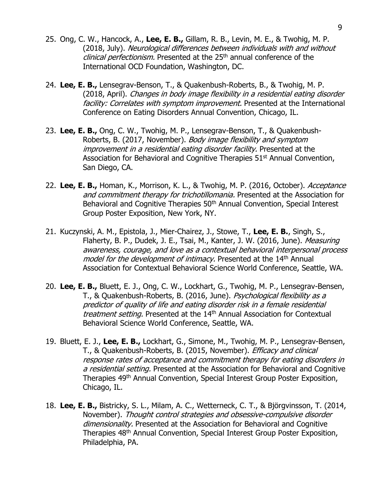- 25. Ong, C. W., Hancock, A., **Lee, E. B.,** Gillam, R. B., Levin, M. E., & Twohig, M. P. (2018, July). Neurological differences between individuals with and without clinical perfectionism. Presented at the 25<sup>th</sup> annual conference of the International OCD Foundation, Washington, DC.
- 24. **Lee, E. B.,** Lensegrav-Benson, T., & Quakenbush-Roberts, B., & Twohig, M. P. (2018, April). Changes in body image flexibility in a residential eating disorder facility: Correlates with symptom improvement. Presented at the International Conference on Eating Disorders Annual Convention, Chicago, IL.
- 23. **Lee, E. B.,** Ong, C. W., Twohig, M. P., Lensegrav-Benson, T., & Quakenbush-Roberts, B. (2017, November). Body image flexibility and symptom improvement in a residential eating disorder facility. Presented at the Association for Behavioral and Cognitive Therapies  $51<sup>st</sup>$  Annual Convention, San Diego, CA.
- 22. **Lee, E. B.,** Homan, K., Morrison, K. L., & Twohig, M. P. (2016, October). Acceptance and commitment therapy for trichotillomania. Presented at the Association for Behavioral and Cognitive Therapies 50<sup>th</sup> Annual Convention, Special Interest Group Poster Exposition, New York, NY.
- 21. Kuczynski, A. M., Epistola, J., Mier-Chairez, J., Stowe, T., **Lee, E. B.**, Singh, S., Flaherty, B. P., Dudek, J. E., Tsai, M., Kanter, J. W. (2016, June). Measuring awareness, courage, and love as a contextual behavioral interpersonal process model for the development of intimacy. Presented at the 14th Annual Association for Contextual Behavioral Science World Conference, Seattle, WA.
- 20. **Lee, E. B.,** Bluett, E. J., Ong, C. W., Lockhart, G., Twohig, M. P., Lensegrav-Bensen, T., & Quakenbush-Roberts, B. (2016, June). Psychological flexibility as a predictor of quality of life and eating disorder risk in a female residential treatment setting. Presented at the 14<sup>th</sup> Annual Association for Contextual Behavioral Science World Conference, Seattle, WA.
- 19. Bluett, E. J., **Lee, E. B.,** Lockhart, G., Simone, M., Twohig, M. P., Lensegrav-Bensen, T., & Quakenbush-Roberts, B. (2015, November). *Efficacy and clinical* response rates of acceptance and commitment therapy for eating disorders in a residential setting. Presented at the Association for Behavioral and Cognitive Therapies 49<sup>th</sup> Annual Convention, Special Interest Group Poster Exposition, Chicago, IL.
- 18. **Lee, E. B.,** Bistricky, S. L., Milam, A. C., Wetterneck, C. T., & Björgvinsson, T. (2014, November). Thought control strategies and obsessive-compulsive disorder dimensionality. Presented at the Association for Behavioral and Cognitive Therapies 48th Annual Convention, Special Interest Group Poster Exposition, Philadelphia, PA.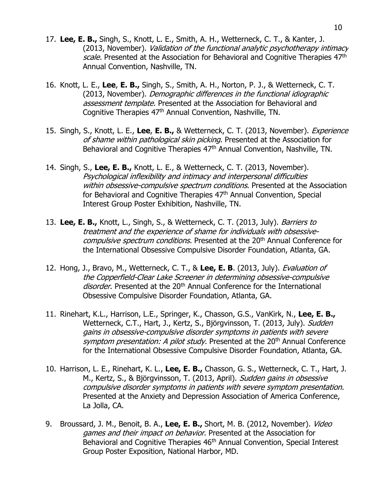- 17. **Lee, E. B.,** Singh, S., Knott, L. E., Smith, A. H., Wetterneck, C. T., & Kanter, J. (2013, November). Validation of the functional analytic psychotherapy intimacy scale. Presented at the Association for Behavioral and Cognitive Therapies 47th Annual Convention, Nashville, TN.
- 16. Knott, L. E., **Lee**, **E. B.,** Singh, S., Smith, A. H., Norton, P. J., & Wetterneck, C. T. (2013, November). Demographic differences in the functional idiographic assessment template. Presented at the Association for Behavioral and Cognitive Therapies 47th Annual Convention, Nashville, TN.
- 15. Singh, S., Knott, L. E., **Lee**, **E. B.,** & Wetterneck, C. T. (2013, November). Experience of shame within pathological skin picking. Presented at the Association for Behavioral and Cognitive Therapies 47<sup>th</sup> Annual Convention, Nashville, TN.
- 14. Singh, S., **Lee, E. B.,** Knott, L. E., & Wetterneck, C. T. (2013, November). Psychological inflexibility and intimacy and interpersonal difficulties within obsessive-compulsive spectrum conditions. Presented at the Association for Behavioral and Cognitive Therapies 47<sup>th</sup> Annual Convention, Special Interest Group Poster Exhibition, Nashville, TN.
- 13. **Lee, E. B.,** Knott, L., Singh, S., & Wetterneck, C. T. (2013, July). Barriers to treatment and the experience of shame for individuals with obsessivecompulsive spectrum conditions. Presented at the 20<sup>th</sup> Annual Conference for the International Obsessive Compulsive Disorder Foundation, Atlanta, GA.
- 12. Hong, J., Bravo, M., Wetterneck, C. T., & **Lee, E. B**. (2013, July). Evaluation of the Copperfield-Clear Lake Screener in determining obsessive-compulsive disorder. Presented at the 20<sup>th</sup> Annual Conference for the International Obsessive Compulsive Disorder Foundation, Atlanta, GA.
- 11. Rinehart, K.L., Harrison, L.E., Springer, K., Chasson, G.S., VanKirk, N., **Lee, E. B.,** Wetterneck, C.T., Hart, J., Kertz, S., Björgvinsson, T. (2013, July). Sudden gains in obsessive-compulsive disorder symptoms in patients with severe symptom presentation: A pilot study. Presented at the 20<sup>th</sup> Annual Conference for the International Obsessive Compulsive Disorder Foundation, Atlanta, GA.
- 10. Harrison, L. E., Rinehart, K. L., **Lee, E. B.,** Chasson, G. S., Wetterneck, C. T., Hart, J. M., Kertz, S., & Björgvinsson, T. (2013, April). Sudden gains in obsessive compulsive disorder symptoms in patients with severe symptom presentation. Presented at the Anxiety and Depression Association of America Conference, La Jolla, CA.
- 9. Broussard, J. M., Benoit, B. A., **Lee, E. B.,** Short, M. B. (2012, November). Video games and their impact on behavior. Presented at the Association for Behavioral and Cognitive Therapies 46<sup>th</sup> Annual Convention, Special Interest Group Poster Exposition, National Harbor, MD.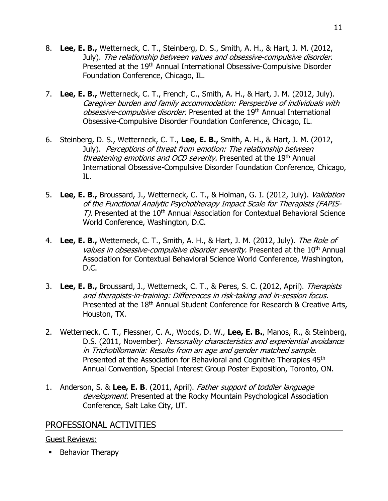- 8. **Lee, E. B.,** Wetterneck, C. T., Steinberg, D. S., Smith, A. H., & Hart, J. M. (2012, July). The relationship between values and obsessive-compulsive disorder. Presented at the 19<sup>th</sup> Annual International Obsessive-Compulsive Disorder Foundation Conference, Chicago, IL.
- 7. **Lee, E. B.,** Wetterneck, C. T., French, C., Smith, A. H., & Hart, J. M. (2012, July). Caregiver burden and family accommodation: Perspective of individuals with obsessive-compulsive disorder. Presented at the 19<sup>th</sup> Annual International Obsessive-Compulsive Disorder Foundation Conference, Chicago, IL.
- 6. Steinberg, D. S., Wetterneck, C. T., **Lee, E. B.,** Smith, A. H., & Hart, J. M. (2012, July). Perceptions of threat from emotion: The relationship between threatening emotions and OCD severity. Presented at the 19th Annual International Obsessive-Compulsive Disorder Foundation Conference, Chicago, IL.
- 5. **Lee, E. B.,** Broussard, J., Wetterneck, C. T., & Holman, G. I. (2012, July). Validation of the Functional Analytic Psychotherapy Impact Scale for Therapists (FAPIS-T). Presented at the 10<sup>th</sup> Annual Association for Contextual Behavioral Science World Conference, Washington, D.C.
- 4. **Lee, E. B.,** Wetterneck, C. T., Smith, A. H., & Hart, J. M. (2012, July). The Role of values in obsessive-compulsive disorder severity. Presented at the 10<sup>th</sup> Annual Association for Contextual Behavioral Science World Conference, Washington, D.C.
- 3. **Lee, E. B.,** Broussard, J., Wetterneck, C. T., & Peres, S. C. (2012, April). Therapists and therapists-in-training: Differences in risk-taking and in-session focus. Presented at the 18<sup>th</sup> Annual Student Conference for Research & Creative Arts, Houston, TX.
- 2. Wetterneck, C. T., Flessner, C. A., Woods, D. W., **Lee, E. B.**, Manos, R., & Steinberg, D.S. (2011, November). Personality characteristics and experiential avoidance in Trichotillomania: Results from an age and gender matched sample. Presented at the Association for Behavioral and Cognitive Therapies 45<sup>th</sup> Annual Convention, Special Interest Group Poster Exposition, Toronto, ON.
- 1. Anderson, S. & **Lee, E. B**. (2011, April). Father support of toddler language development. Presented at the Rocky Mountain Psychological Association Conference, Salt Lake City, UT.

# PROFESSIONAL ACTIVITIES

# Guest Reviews:

**•** Behavior Therapy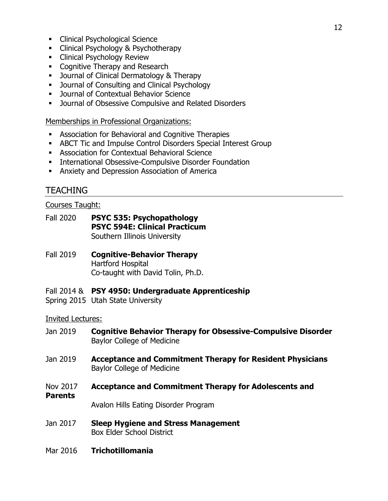- **EXECUTE: Clinical Psychological Science**
- **EXECUTE: Clinical Psychology & Psychotherapy**
- **EXEC** Clinical Psychology Review
- Cognitive Therapy and Research
- **Journal of Clinical Dermatology & Therapy**
- Journal of Consulting and Clinical Psychology
- **■** Journal of Contextual Behavior Science
- **■** Journal of Obsessive Compulsive and Related Disorders

Memberships in Professional Organizations:

- Association for Behavioral and Cognitive Therapies
- **EXECT Tic and Impulse Control Disorders Special Interest Group**
- **EXEC** Association for Contextual Behavioral Science
- **EXECT:** International Obsessive-Compulsive Disorder Foundation
- **EXECUTE:** Anxiety and Depression Association of America

# TEACHING

## Courses Taught:

- Fall 2020 **PSYC 535: Psychopathology PSYC 594E: Clinical Practicum** Southern Illinois University
- Fall 2019 **Cognitive-Behavior Therapy** Hartford Hospital Co-taught with David Tolin, Ph.D.
- Fall 2014 & **PSY 4950: Undergraduate Apprenticeship**
- Spring 2015 Utah State University

## Invited Lectures:

- Jan 2019 **Cognitive Behavior Therapy for Obsessive-Compulsive Disorder** Baylor College of Medicine
- Jan 2019 **Acceptance and Commitment Therapy for Resident Physicians** Baylor College of Medicine
- Nov 2017 **Acceptance and Commitment Therapy for Adolescents and**

#### **Parents**

Avalon Hills Eating Disorder Program

- Jan 2017 **Sleep Hygiene and Stress Management** Box Elder School District
- Mar 2016 **Trichotillomania**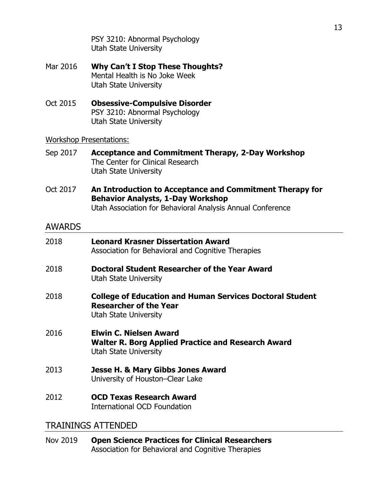PSY 3210: Abnormal Psychology Utah State University

- Mar 2016 **Why Can't I Stop These Thoughts?** Mental Health is No Joke Week Utah State University
- Oct 2015 **Obsessive-Compulsive Disorder** PSY 3210: Abnormal Psychology Utah State University

## Workshop Presentations:

- Sep 2017 **Acceptance and Commitment Therapy, 2-Day Workshop** The Center for Clinical Research Utah State University
- Oct 2017 **An Introduction to Acceptance and Commitment Therapy for Behavior Analysts, 1-Day Workshop** Utah Association for Behavioral Analysis Annual Conference

# AWARDS

| 2018 | <b>Leonard Krasner Dissertation Award</b><br>Association for Behavioral and Cognitive Therapies                           |
|------|---------------------------------------------------------------------------------------------------------------------------|
| 2018 | Doctoral Student Researcher of the Year Award<br>Utah State University                                                    |
| 2018 | <b>College of Education and Human Services Doctoral Student</b><br><b>Researcher of the Year</b><br>Utah State University |
| 2016 | <b>Elwin C. Nielsen Award</b><br>Walter R. Borg Applied Practice and Research Award<br>Utah State University              |
| 2013 | Jesse H. & Mary Gibbs Jones Award<br>University of Houston–Clear Lake                                                     |
| 2012 | <b>OCD Texas Research Award</b><br>International OCD Foundation                                                           |

# TRAININGS ATTENDED

Nov 2019 **Open Science Practices for Clinical Researchers** Association for Behavioral and Cognitive Therapies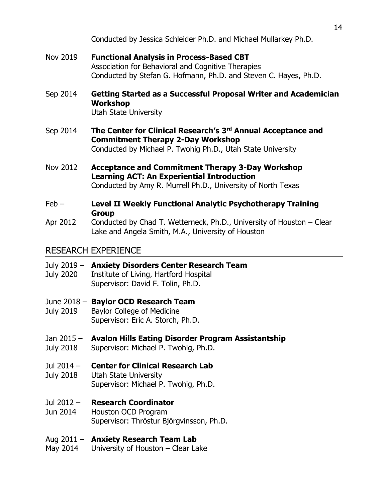Conducted by Jessica Schleider Ph.D. and Michael Mullarkey Ph.D.

- Nov 2019 **Functional Analysis in Process-Based CBT** Association for Behavioral and Cognitive Therapies Conducted by Stefan G. Hofmann, Ph.D. and Steven C. Hayes, Ph.D.
- Sep 2014 **Getting Started as a Successful Proposal Writer and Academician Workshop** Utah State University
- Sep 2014 **The Center for Clinical Research's 3rd Annual Acceptance and Commitment Therapy 2-Day Workshop** Conducted by Michael P. Twohig Ph.D., Utah State University
- Nov 2012 **Acceptance and Commitment Therapy 3-Day Workshop Learning ACT: An Experiential Introduction** Conducted by Amy R. Murrell Ph.D., University of North Texas
- Feb **Level II Weekly Functional Analytic Psychotherapy Training Group**
- Apr 2012 Conducted by Chad T. Wetterneck, Ph.D., University of Houston Clear Lake and Angela Smith, M.A., University of Houston

# RESEARCH EXPERIENCE

- July 2019 **Anxiety Disorders Center Research Team**
- July 2020 Institute of Living, Hartford Hospital Supervisor: David F. Tolin, Ph.D.
- June 2018 **Baylor OCD Research Team**
- July 2019 Baylor College of Medicine Supervisor: Eric A. Storch, Ph.D.

# Jan 2015 – **Avalon Hills Eating Disorder Program Assistantship**

- July 2018 Supervisor: Michael P. Twohig, Ph.D.
- Jul 2014 **Center for Clinical Research Lab**
- July 2018 Utah State University Supervisor: Michael P. Twohig, Ph.D.
- Jul 2012 **Research Coordinator**
- Jun 2014 Houston OCD Program Supervisor: Thröstur Björgvinsson, Ph.D.
- Aug 2011 **Anxiety Research Team Lab**
- May 2014 University of Houston Clear Lake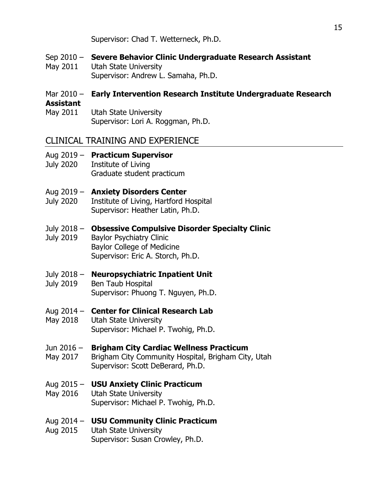Supervisor: Chad T. Wetterneck, Ph.D.

- Sep 2010 **Severe Behavior Clinic Undergraduate Research Assistant** May 2011 Utah State University Supervisor: Andrew L. Samaha, Ph.D.
- Mar 2010 **Early Intervention Research Institute Undergraduate Research Assistant**
- May 2011 Utah State University Supervisor: Lori A. Roggman, Ph.D.

# CLINICAL TRAINING AND EXPERIENCE

- Aug 2019 **Practicum Supervisor** July 2020 Institute of Living
	- Graduate student practicum
- Aug 2019 **Anxiety Disorders Center**
- July 2020 Institute of Living, Hartford Hospital Supervisor: Heather Latin, Ph.D.

July 2018 – **Obsessive Compulsive Disorder Specialty Clinic** July 2019 Baylor Psychiatry Clinic Baylor College of Medicine Supervisor: Eric A. Storch, Ph.D.

# July 2018 – **Neuropsychiatric Inpatient Unit**

July 2019 Ben Taub Hospital Supervisor: Phuong T. Nguyen, Ph.D.

# Aug 2014 – **Center for Clinical Research Lab**

May 2018 Utah State University Supervisor: Michael P. Twohig, Ph.D.

# Jun 2016 – **Brigham City Cardiac Wellness Practicum**

May 2017 Brigham City Community Hospital, Brigham City, Utah Supervisor: Scott DeBerard, Ph.D.

# Aug 2015 – **USU Anxiety Clinic Practicum**

May 2016 Utah State University Supervisor: Michael P. Twohig, Ph.D.

# Aug 2014 – **USU Community Clinic Practicum**

Aug 2015 Utah State University Supervisor: Susan Crowley, Ph.D.